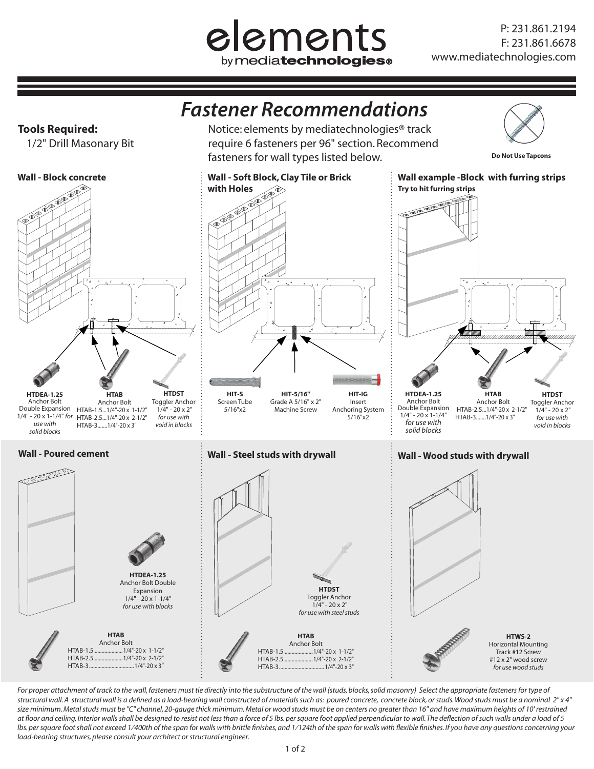## elements by mediatechnologies<sup>®</sup>

## *Fastener Recommendations*

Notice: elements by mediatechnologies® track require 6 fasteners per 96" section. Recommend

**Tools Required:**

1/2" Drill Masonary Bit



For proper attachment of track to the wall, fasteners must tie directly into the substructure of the wall (studs, blocks, solid masonry) Select the appropriate fasteners for type of *structural wall. A structural wall is a defined as a load-bearing wall constructed of materials such as: poured concrete, concrete block, or studs. Wood studs must be a nominal 2" x 4"*  size minimum. Metal studs must be "C" channel, 20-gauge thick minimum. Metal or wood studs must be on centers no greater than 16" and have maximum heights of 10' restrained at floor and ceiling. Interior walls shall be designed to resist not less than a force of 5 lbs. per square foot applied perpendicular to wall. The deflection of such walls under a load of 5 lbs. per square foot shall not exceed 1/400th of the span for walls with brittle finishes, and 1/124th of the span for walls with flexible finishes. If you have any questions concerning your *load-bearing structures, please consult your architect or structural engineer.*